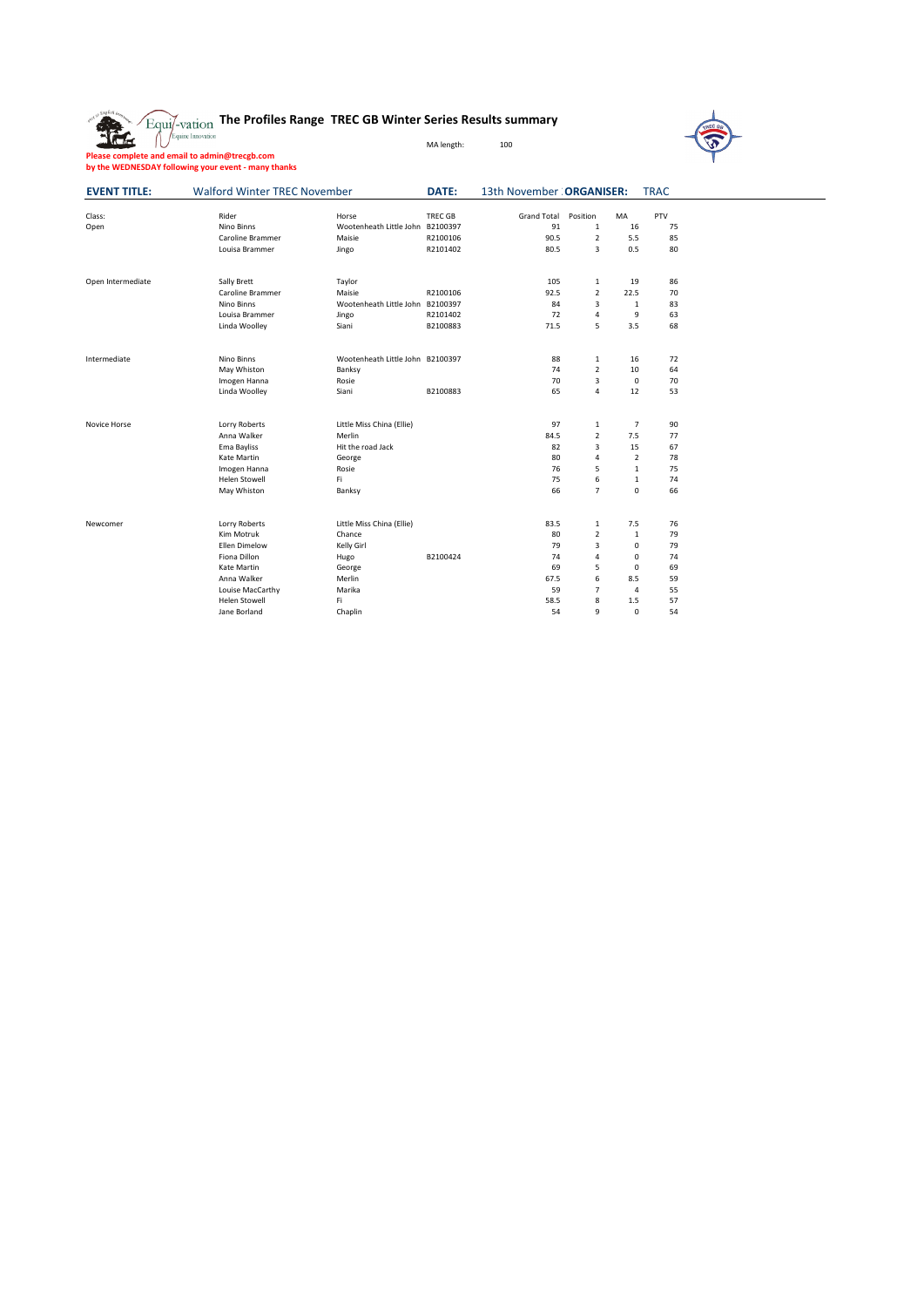| Alt so English by   | $\overleftarrow{\mathrm{Equi/}}$ - $\mathrm{varion}$ The Profiles Range TREC GB Winter Series Results summary<br>Equine Innovation |                                                                                             | MA length:                             | 100                                        |                                                                 |                                                                              |                                        | <b>REC GA</b> |
|---------------------|------------------------------------------------------------------------------------------------------------------------------------|---------------------------------------------------------------------------------------------|----------------------------------------|--------------------------------------------|-----------------------------------------------------------------|------------------------------------------------------------------------------|----------------------------------------|---------------|
|                     | Please complete and email to admin@trecgb.com<br>by the WEDNESDAY following your event - many thanks                               |                                                                                             |                                        |                                            |                                                                 |                                                                              |                                        |               |
| <b>EVENT TITLE:</b> | <b>Walford Winter TREC November</b>                                                                                                |                                                                                             | DATE:                                  | 13th November : ORGANISER:                 |                                                                 |                                                                              | <b>TRAC</b>                            |               |
| Class:<br>Open      | Rider<br>Nino Binns<br>Caroline Brammer<br>Louisa Brammer                                                                          | Horse<br>Wootenheath Little John B2100397<br>Maisie<br>Jingo                                | <b>TREC GB</b><br>R2100106<br>R2101402 | Grand Total<br>91<br>90.5<br>80.5          | Position<br>$\mathbf{1}$<br>$\overline{2}$<br>3                 | MA<br>16<br>5.5<br>0.5                                                       | PTV<br>75<br>85<br>80                  |               |
| Open Intermediate   | Sally Brett<br>Caroline Brammer<br>Nino Binns<br>Louisa Brammer<br>Linda Woolley                                                   | Taylor<br>Maisie<br>Wootenheath Little John B2100397<br>Jingo<br>Siani                      | R2100106<br>R2101402<br>B2100883       | 105<br>92.5<br>84<br>72<br>71.5            | $\mathbf{1}$<br>$\overline{2}$<br>3<br>4<br>5                   | 19<br>22.5<br>$\mathbf 1$<br>9<br>3.5                                        | 86<br>70<br>83<br>63<br>68             |               |
| Intermediate        | Nino Binns<br>May Whiston<br>Imogen Hanna<br>Linda Woolley                                                                         | Wootenheath Little John B2100397<br>Banksy<br>Rosie<br>Siani                                | B2100883                               | 88<br>74<br>70<br>65                       | 1<br>$\overline{2}$<br>3<br>4                                   | 16<br>10<br>$\mathbf 0$<br>12                                                | 72<br>64<br>70<br>53                   |               |
| Novice Horse        | Lorry Roberts<br>Anna Walker<br>Ema Bayliss<br>Kate Martin<br>Imogen Hanna<br>Helen Stowell<br>May Whiston                         | Little Miss China (Ellie)<br>Merlin<br>Hit the road Jack<br>George<br>Rosie<br>Fi<br>Banksy |                                        | 97<br>84.5<br>82<br>80<br>76<br>75<br>66   | 1<br>$\overline{2}$<br>3<br>4<br>5<br>6<br>$\overline{7}$       | $\overline{7}$<br>7.5<br>15<br>2<br>$\mathbf{1}$<br>$\mathbf{1}$<br>$\Omega$ | 90<br>77<br>67<br>78<br>75<br>74<br>66 |               |
| Newcomer            | Lorry Roberts<br>Kim Motruk<br>Ellen Dimelow<br>Fiona Dillon<br>Kate Martin<br>Anna Walker<br>Louise MacCarthy                     | Little Miss China (Ellie)<br>Chance<br>Kelly Girl<br>Hugo<br>George<br>Merlin<br>Marika     | B2100424                               | 83.5<br>80<br>79<br>74<br>69<br>67.5<br>59 | $\,1\,$<br>$\overline{2}$<br>3<br>4<br>5<br>6<br>$\overline{7}$ | 7.5<br>$\mathbf 1$<br>0<br>0<br>0<br>8.5<br>4                                | 76<br>79<br>79<br>74<br>69<br>59<br>55 |               |

Helen Stowell Fi 58.5 8 1.5 57 Jane Borland Chaplin 54 9 0 54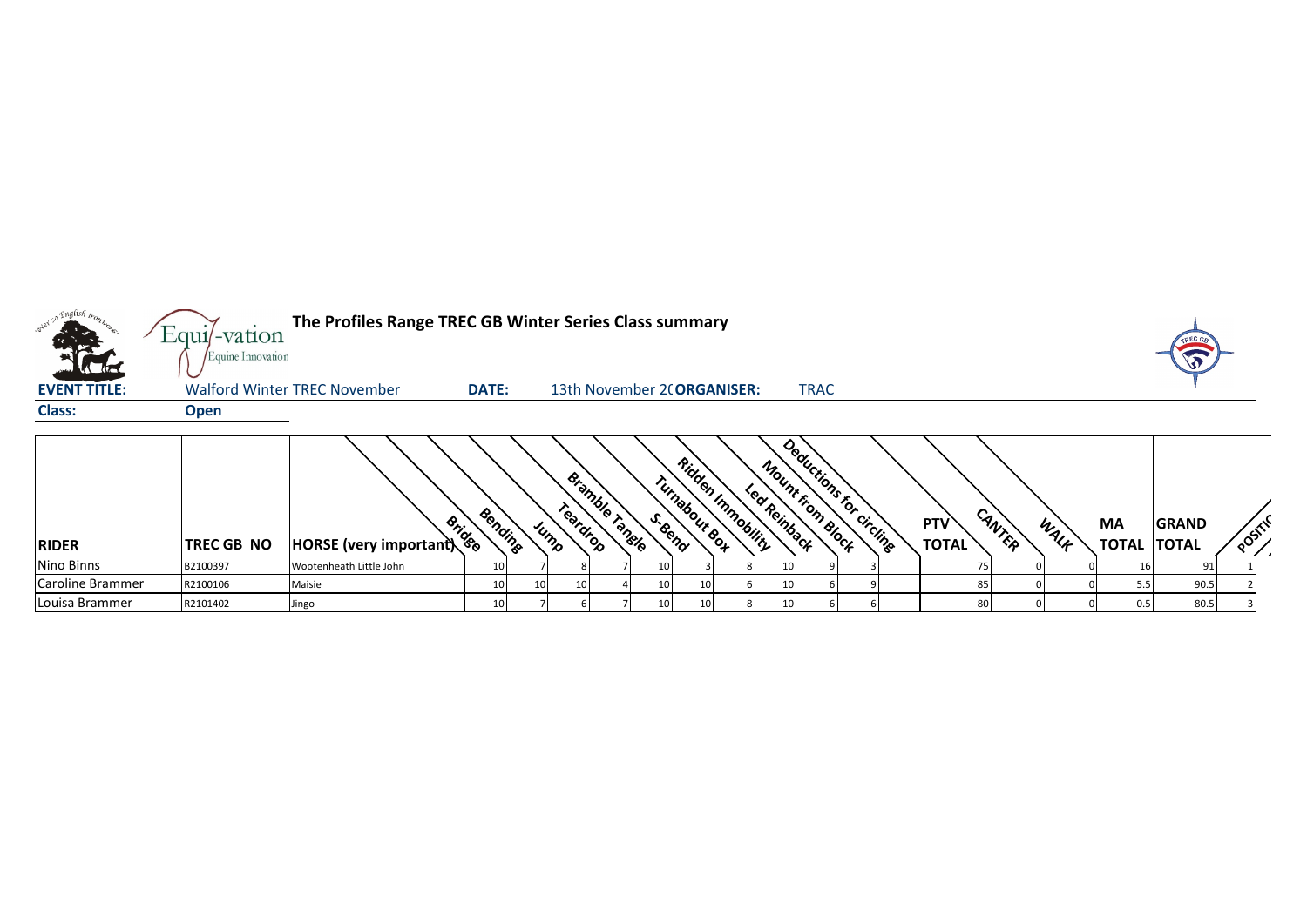

Caroline Brammer |R2100106 |Maisie | 10| 10| 10| 10| 4| 10| 10| 6| 10| 6| 9| | 85| 0| 0| 5.5| 90.5| 2 Louisa Brammer R2101402 Jingo 10 7 6 7 10 10 8 10 6 6 80 0 0 0.5 80.5 3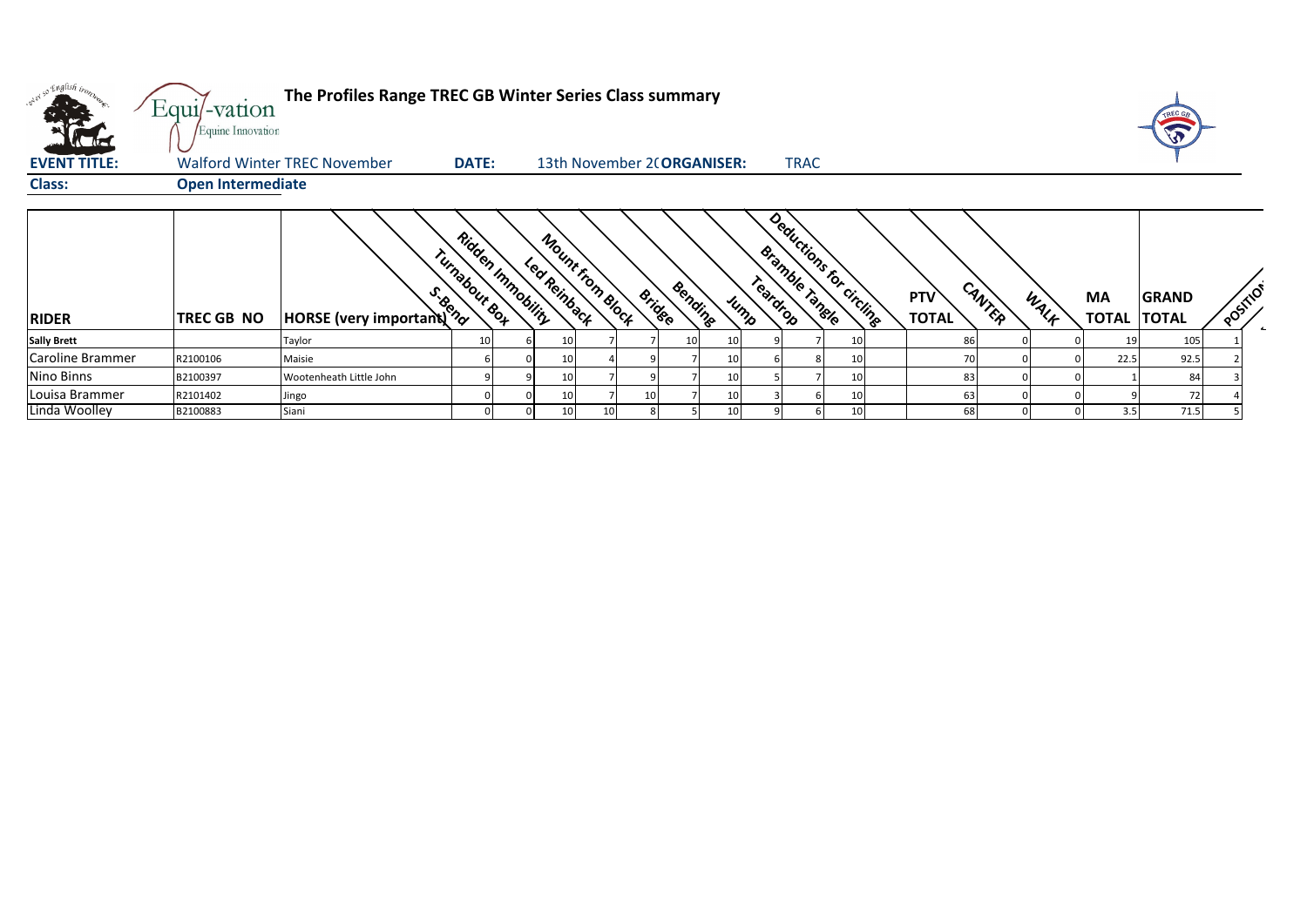|                     | Equi/-vation<br>Equine Innovation | The Profiles Range TREC GB Winter Series Class summary |                                               |                                  |                            |         |      |                                   |             |                         |                            |        |      |                    |                              |          |  |
|---------------------|-----------------------------------|--------------------------------------------------------|-----------------------------------------------|----------------------------------|----------------------------|---------|------|-----------------------------------|-------------|-------------------------|----------------------------|--------|------|--------------------|------------------------------|----------|--|
| <b>EVENT TITLE:</b> |                                   | <b>Walford Winter TREC November</b>                    | <b>DATE:</b>                                  |                                  | 13th November 2(ORGANISER: |         |      |                                   | <b>TRAC</b> |                         |                            |        |      |                    |                              |          |  |
| <b>Class:</b>       | <b>Open Intermediate</b>          |                                                        |                                               |                                  |                            |         |      |                                   |             |                         |                            |        |      |                    |                              |          |  |
| <b>RIDER</b>        | TREC GB NO                        | <b>Provided</b><br>HORSE (very important)              | Ridden Immobility<br>Turnabour <sub>So4</sub> | Mount from Block<br>Led Reinback | Bridge                     | Bending | Jump | <b>Bramble Tangle</b><br>Teardrop |             | Deductions for Circline | <b>PTV</b><br><b>TOTAL</b> | CANTER | WALF | <b>MA</b><br>TOTAL | <b>GRAND</b><br><b>TOTAL</b> | POSITION |  |
| <b>Sally Brett</b>  |                                   | Taylor                                                 | 10 <sup>1</sup>                               | 10                               |                            |         |      |                                   |             |                         | 86                         |        |      |                    | 105                          |          |  |
| Caroline Brammer    | R2100106                          | Maisie                                                 | 6                                             | 10 <sub>l</sub>                  |                            |         | 10   |                                   |             | 10                      |                            |        |      | 22.5               | 92.5                         |          |  |
| Nino Binns          | B2100397                          | Wootenheath Little John                                |                                               | 10                               |                            |         | 10   |                                   |             | 10                      | 83                         |        |      |                    | 84                           |          |  |
| Louisa Brammer      | R2101402                          | Jingo                                                  |                                               | 10 <sup>1</sup>                  | 10 <sup>1</sup>            |         | 10   |                                   |             | 10                      | 63                         |        |      |                    | 72                           |          |  |
| Linda Woolley       | B2100883                          | Siani                                                  |                                               | 10                               |                            |         | 10   |                                   |             | 10                      | 68                         |        |      | 3.5                | 71.5                         |          |  |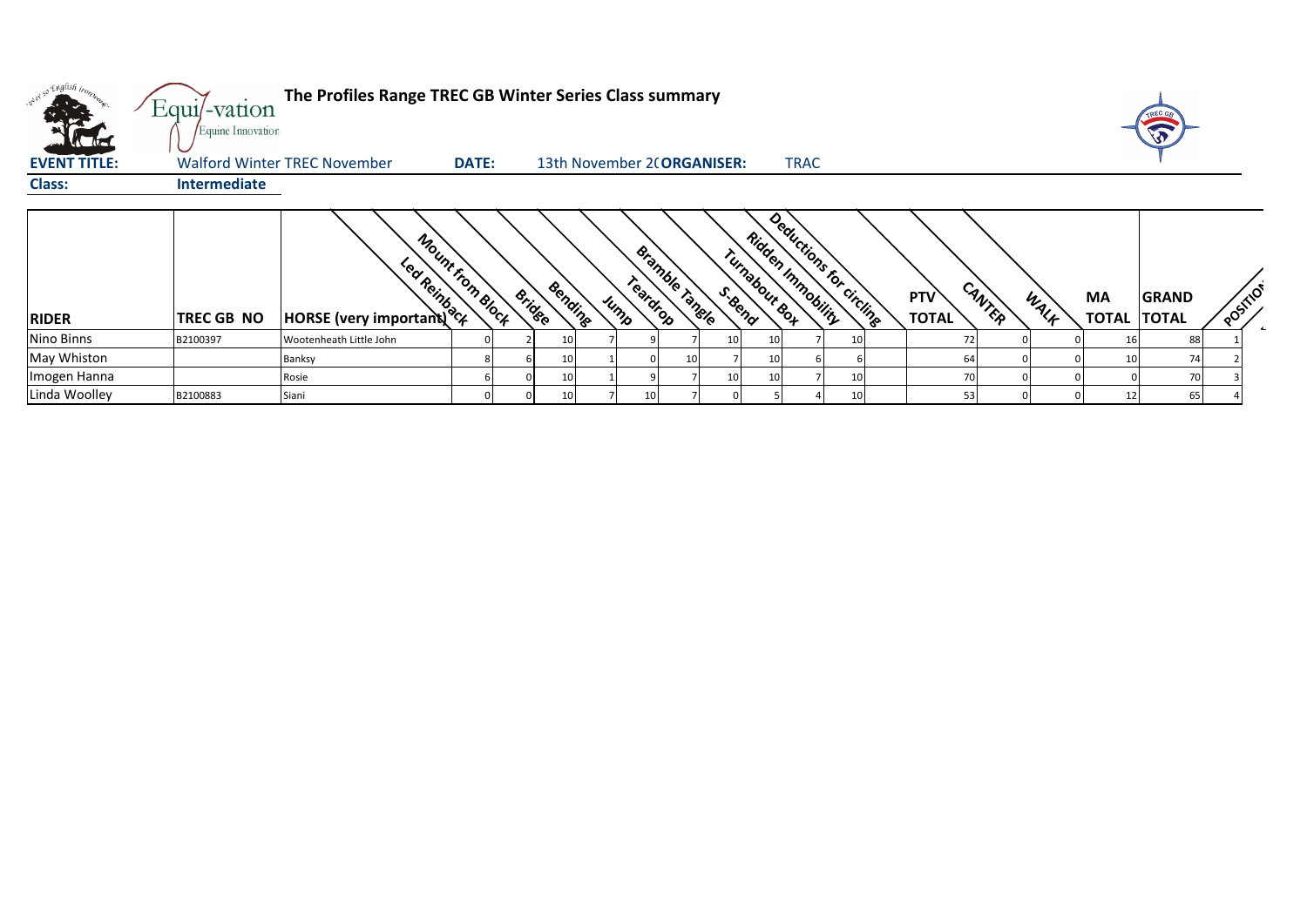|                     | Equi/-vation<br>Equine Innovation | The Profiles Range TREC GB Winter Series Class summary            |              |               |    |                            |                  |                |         |                 |                                              |           |                                      |      |                                 | TREC G<br>T  |          |
|---------------------|-----------------------------------|-------------------------------------------------------------------|--------------|---------------|----|----------------------------|------------------|----------------|---------|-----------------|----------------------------------------------|-----------|--------------------------------------|------|---------------------------------|--------------|----------|
| <b>EVENT TITLE:</b> |                                   | <b>Walford Winter TREC November</b>                               | <b>DATE:</b> |               |    | 13th November 2(ORGANISER: |                  |                |         |                 | <b>TRAC</b>                                  |           |                                      |      |                                 |              |          |
| Class:              | <b>Intermediate</b>               |                                                                   |              |               |    |                            |                  |                |         |                 |                                              |           |                                      |      |                                 |              |          |
| <b>RIDER</b>        | <b>TREC GB NO</b>                 | Mount from Block<br><b>EDMARY ASSES</b><br>HORSE (very important) |              | <b>Bridge</b> |    | Bending                    | Teardrop<br>Jump | Bramble Tangle | S. Bend | Turnabout Box   | Deductions for circling<br>Ridden Immobility |           | CANTER<br><b>PTV</b><br><b>TOTAL</b> | WALK | <b>MA</b><br><b>TOTAL TOTAL</b> | <b>GRAND</b> | POSITION |
| Nino Binns          | B2100397                          | Wootenheath Little John                                           |              |               |    |                            |                  |                |         | <b>10</b>       |                                              | <b>10</b> |                                      |      |                                 | 881          |          |
| May Whiston         |                                   | <b>Banksy</b>                                                     |              |               | 10 |                            |                  |                |         | <b>10</b>       |                                              |           |                                      |      |                                 | 74           |          |
| Imogen Hanna        |                                   | Rosie                                                             |              |               | 10 |                            |                  |                |         | 10 <sup>1</sup> |                                              | 10        |                                      |      |                                 | 70           |          |
| Linda Woolley       | B2100883                          | Siani                                                             |              |               |    |                            |                  |                |         |                 |                                              | 10        | 53                                   |      |                                 | 65           |          |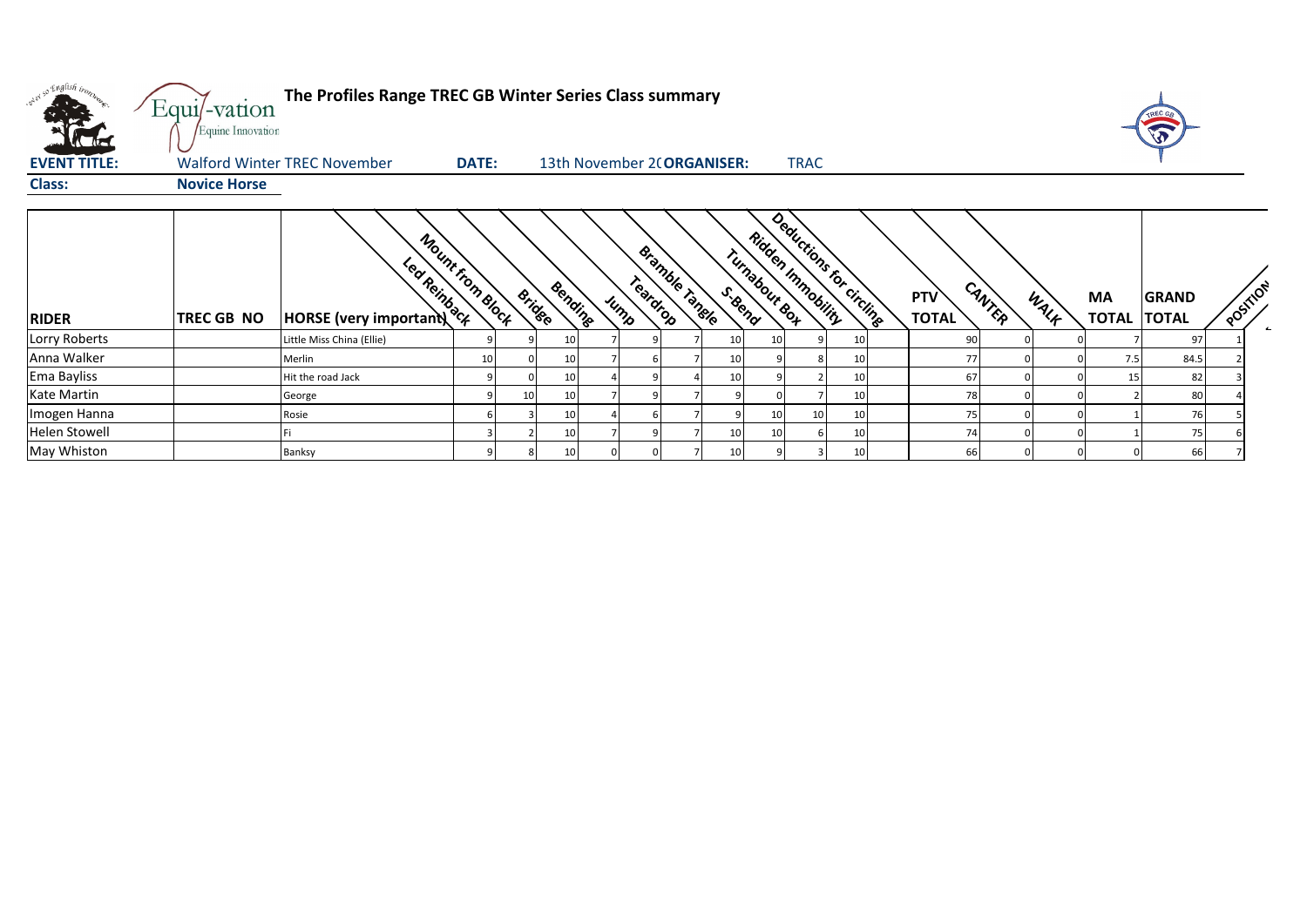| olet so English bronzes | Equi/-vation<br>Equine Innovation | The Profiles Range TREC GB Winter Series Class summary            |              |               |         |                  |                            |         |                 |                                                       |    |                            |        |      |                          | TREC GE      |          |  |
|-------------------------|-----------------------------------|-------------------------------------------------------------------|--------------|---------------|---------|------------------|----------------------------|---------|-----------------|-------------------------------------------------------|----|----------------------------|--------|------|--------------------------|--------------|----------|--|
| <b>EVENT TITLE:</b>     |                                   | <b>Walford Winter TREC November</b>                               | <b>DATE:</b> |               |         |                  | 13th November 2(ORGANISER: |         |                 | <b>TRAC</b>                                           |    |                            |        |      |                          |              |          |  |
| <b>Class:</b>           | <b>Novice Horse</b>               |                                                                   |              |               |         |                  |                            |         |                 |                                                       |    |                            |        |      |                          |              |          |  |
| <b>RIDER</b>            | TREC GB NO                        | Mount from Block<br>Led Reinback<br><b>HORSE</b> (very important) |              | <b>Bridge</b> | Bending | Teardrop<br>Jump | <b>Bramble Tangle</b>      | S. Bend | Turnabout Box   | Deductions for circlines<br><b>Ridden Innoceility</b> |    | <b>PTV</b><br><b>TOTAL</b> | CANTER | WALF | MA<br><b>TOTAL TOTAL</b> | <b>GRAND</b> | POSITION |  |
| Lorry Roberts           |                                   | Little Miss China (Ellie)                                         |              |               |         |                  |                            |         | 10              |                                                       | 10 | 90                         |        |      |                          | 97           |          |  |
| Anna Walker             |                                   | Merlin                                                            | 10           |               | 10      |                  |                            | 10      |                 | 8                                                     | 10 | 77                         |        |      | 7.5                      | 84.5         |          |  |
| Ema Bayliss             |                                   | Hit the road Jack                                                 |              |               | 10      |                  |                            | 10      |                 |                                                       | 10 | 67                         |        |      | 15                       | 82           |          |  |
| Kate Martin             |                                   | George                                                            |              | 10            | 10      |                  |                            |         |                 |                                                       | 10 | 78                         |        |      |                          | 80           |          |  |
| Imogen Hanna            |                                   | Rosie                                                             |              |               | 10      |                  |                            |         | 10 <sup>1</sup> | 10                                                    | 10 | 75                         |        |      |                          | 76           |          |  |
| Helen Stowell           |                                   |                                                                   |              |               | 10      |                  |                            | 10      | 10              |                                                       | 10 | 74                         |        |      |                          | 75           |          |  |
| May Whiston             |                                   | Banksy                                                            |              |               | 10      |                  |                            | 10      |                 |                                                       | 10 | 66                         |        |      |                          | 66           |          |  |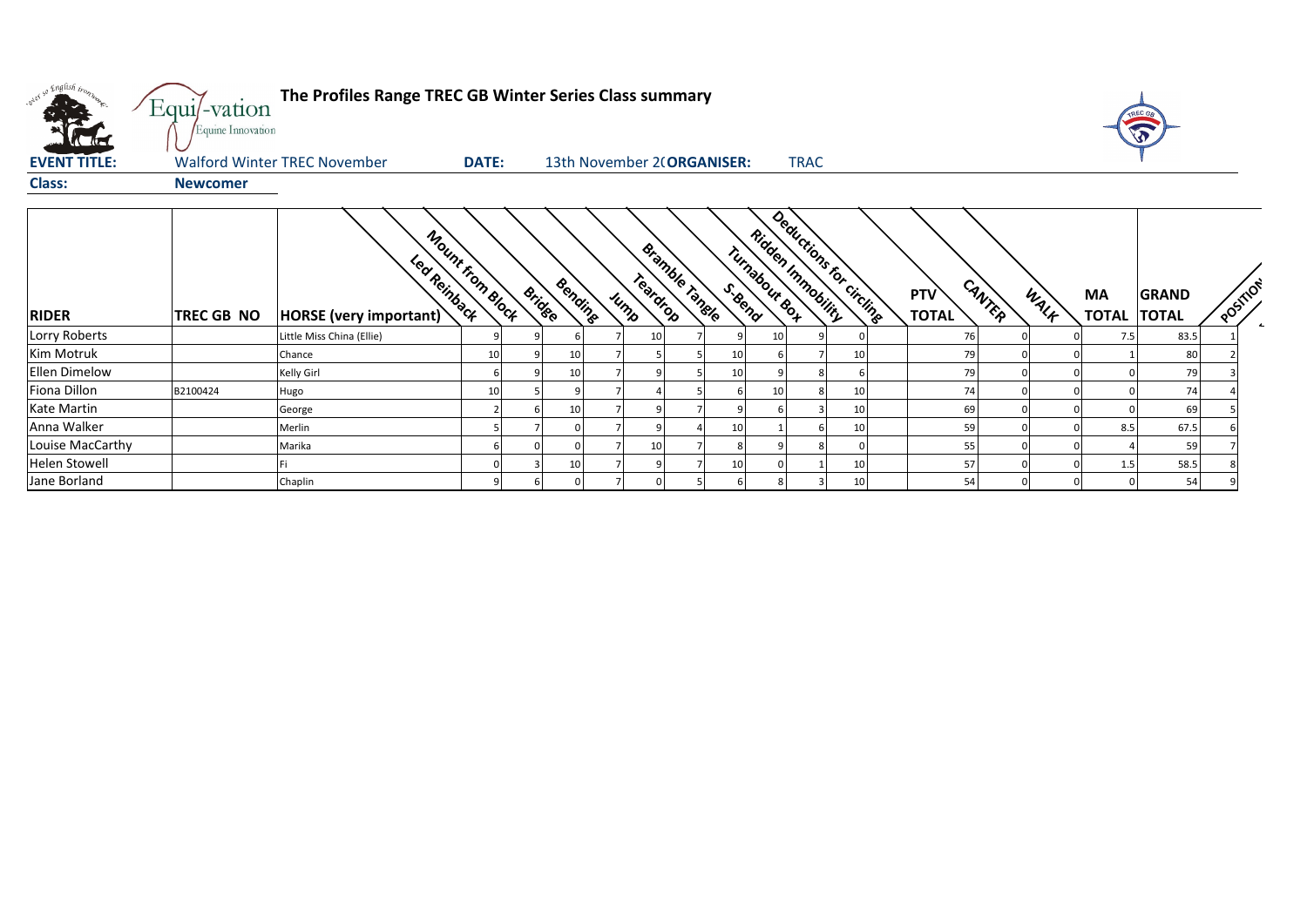| what so English trong | Equi/-vation<br>Equine Innovation | The Profiles Range TREC GB Winter Series Class summary     |                 |               |         |                  |                       |                            |               |                   |                         |                            |        |      |                           |                              |          |  |
|-----------------------|-----------------------------------|------------------------------------------------------------|-----------------|---------------|---------|------------------|-----------------------|----------------------------|---------------|-------------------|-------------------------|----------------------------|--------|------|---------------------------|------------------------------|----------|--|
| <b>EVENT TITLE:</b>   |                                   | <b>Walford Winter TREC November</b>                        | <b>DATE:</b>    |               |         |                  |                       | 13th November 2(ORGANISER: |               | <b>TRAC</b>       |                         |                            |        |      |                           |                              |          |  |
| <b>Class:</b>         | <b>Newcomer</b>                   |                                                            |                 |               |         |                  |                       |                            |               |                   |                         |                            |        |      |                           |                              |          |  |
| <b>RIDER</b>          | TREC GB NO                        | Mount From Block<br>Led Reinback<br>HORSE (very important) |                 | <b>Bridge</b> | Bending | Teardrop<br>Jump | <b>Bramble Tangle</b> | S. Bend                    | Turnabout Box | Ridden Inmobility | Deductions for circling | <b>PTV</b><br><b>TOTAL</b> | CANTER | WALK | <b>MA</b><br><b>TOTAL</b> | <b>GRAND</b><br><b>TOTAL</b> | POSTILOT |  |
| Lorry Roberts         |                                   | Little Miss China (Ellie)                                  |                 |               |         | 10               |                       |                            | 10            |                   |                         | 76                         |        |      | 7.5                       | 83.5                         |          |  |
| Kim Motruk            |                                   | Chance                                                     | 10 <sup>1</sup> |               | 10      |                  |                       | 10                         |               |                   | 10                      | 79                         |        |      |                           | 80                           |          |  |
| <b>Ellen Dimelow</b>  |                                   | Kelly Girl                                                 |                 |               | 10      |                  |                       | 10                         |               |                   |                         | 79                         |        |      |                           | 79                           |          |  |
| Fiona Dillon          | B2100424                          | Hugo                                                       | 10              |               |         |                  |                       |                            | 10            |                   | 10                      | 74                         |        |      |                           | 74                           |          |  |
| Kate Martin           |                                   | George                                                     |                 |               | 10      |                  |                       |                            |               |                   | 10                      | 69                         |        |      |                           | 69                           |          |  |
| Anna Walker           |                                   | Merlin                                                     |                 |               |         |                  |                       | 10                         |               |                   | 10                      | 59                         |        |      | 8.5                       | 67.5                         |          |  |
| Louise MacCarthy      |                                   | Marika                                                     |                 |               |         | 10               |                       |                            |               |                   |                         | 55                         |        |      |                           | 59                           |          |  |
| <b>Helen Stowell</b>  |                                   |                                                            |                 |               | 10      | q                |                       | 10                         |               |                   | 10                      | 57                         |        |      | 1.5                       | 58.5                         |          |  |
| Jane Borland          |                                   | Chaplin                                                    |                 |               |         |                  |                       |                            |               |                   | 10                      | 54                         |        |      |                           | 54                           |          |  |